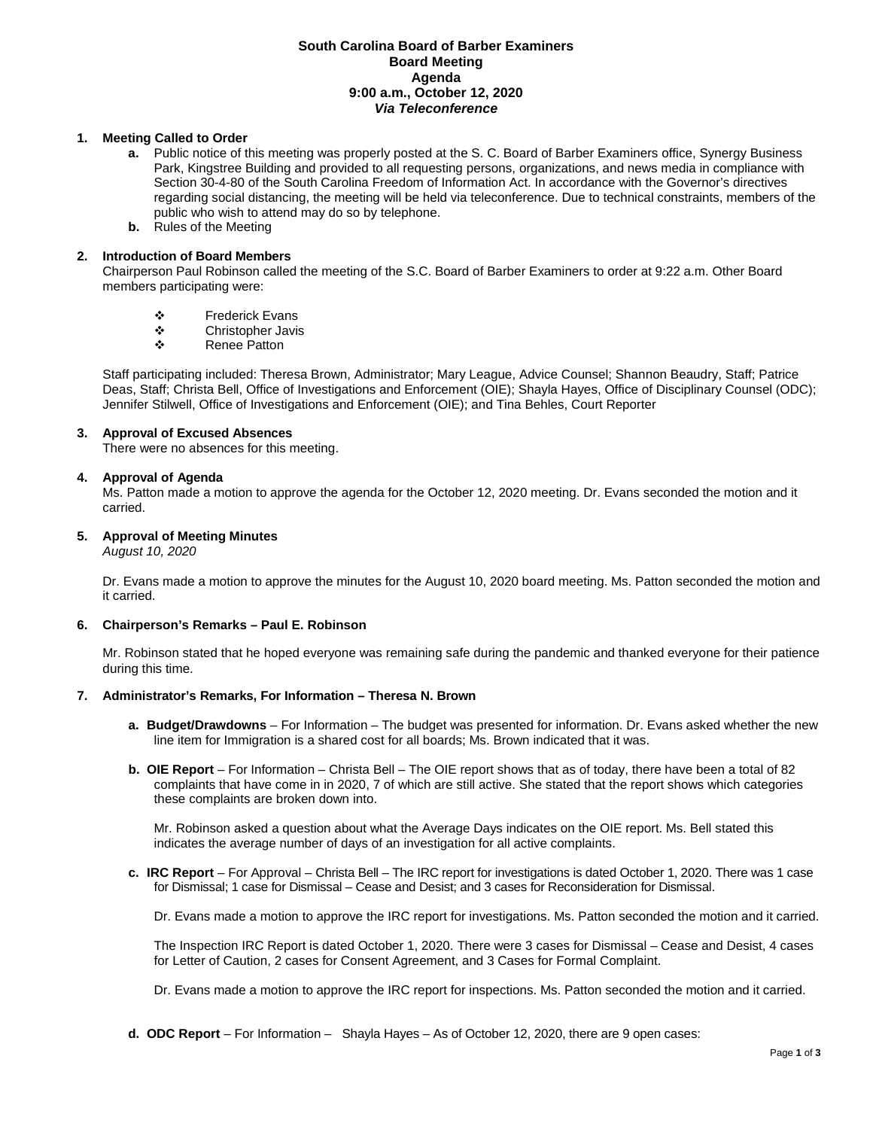## **South Carolina Board of Barber Examiners Board Meeting Agenda 9:00 a.m., October 12, 2020** *Via Teleconference*

## **1. Meeting Called to Order**

- **a.** Public notice of this meeting was properly posted at the S. C. Board of Barber Examiners office, Synergy Business Park, Kingstree Building and provided to all requesting persons, organizations, and news media in compliance with Section 30-4-80 of the South Carolina Freedom of Information Act. In accordance with the Governor's directives regarding social distancing, the meeting will be held via teleconference. Due to technical constraints, members of the public who wish to attend may do so by telephone.
- **b.** Rules of the Meeting

## **2. Introduction of Board Members**

Chairperson Paul Robinson called the meeting of the S.C. Board of Barber Examiners to order at 9:22 a.m. Other Board members participating were:

- **❖** Frederick Evans<br>❖ Christopher Javis
- ❖ Christopher Javis<br>❖ Renee Patton
- Renee Patton

Staff participating included: Theresa Brown, Administrator; Mary League, Advice Counsel; Shannon Beaudry, Staff; Patrice Deas, Staff; Christa Bell, Office of Investigations and Enforcement (OIE); Shayla Hayes, Office of Disciplinary Counsel (ODC); Jennifer Stilwell, Office of Investigations and Enforcement (OIE); and Tina Behles, Court Reporter

## **3. Approval of Excused Absences**

There were no absences for this meeting.

## **4. Approval of Agenda**

Ms. Patton made a motion to approve the agenda for the October 12, 2020 meeting. Dr. Evans seconded the motion and it carried.

## **5. Approval of Meeting Minutes**

*August 10, 2020*

Dr. Evans made a motion to approve the minutes for the August 10, 2020 board meeting. Ms. Patton seconded the motion and it carried.

#### **6. Chairperson's Remarks – Paul E. Robinson**

Mr. Robinson stated that he hoped everyone was remaining safe during the pandemic and thanked everyone for their patience during this time.

#### **7. Administrator's Remarks, For Information – Theresa N. Brown**

- **a. Budget/Drawdowns** For Information The budget was presented for information. Dr. Evans asked whether the new line item for Immigration is a shared cost for all boards; Ms. Brown indicated that it was.
- **b. OIE Report**  For Information Christa Bell The OIE report shows that as of today, there have been a total of 82 complaints that have come in in 2020, 7 of which are still active. She stated that the report shows which categories these complaints are broken down into.

Mr. Robinson asked a question about what the Average Days indicates on the OIE report. Ms. Bell stated this indicates the average number of days of an investigation for all active complaints.

**c. IRC Report** – For Approval – Christa Bell – The IRC report for investigations is dated October 1, 2020. There was 1 case for Dismissal; 1 case for Dismissal – Cease and Desist; and 3 cases for Reconsideration for Dismissal.

Dr. Evans made a motion to approve the IRC report for investigations. Ms. Patton seconded the motion and it carried.

The Inspection IRC Report is dated October 1, 2020. There were 3 cases for Dismissal – Cease and Desist, 4 cases for Letter of Caution, 2 cases for Consent Agreement, and 3 Cases for Formal Complaint.

Dr. Evans made a motion to approve the IRC report for inspections. Ms. Patton seconded the motion and it carried.

**d. ODC Report** – For Information – Shayla Hayes – As of October 12, 2020, there are 9 open cases: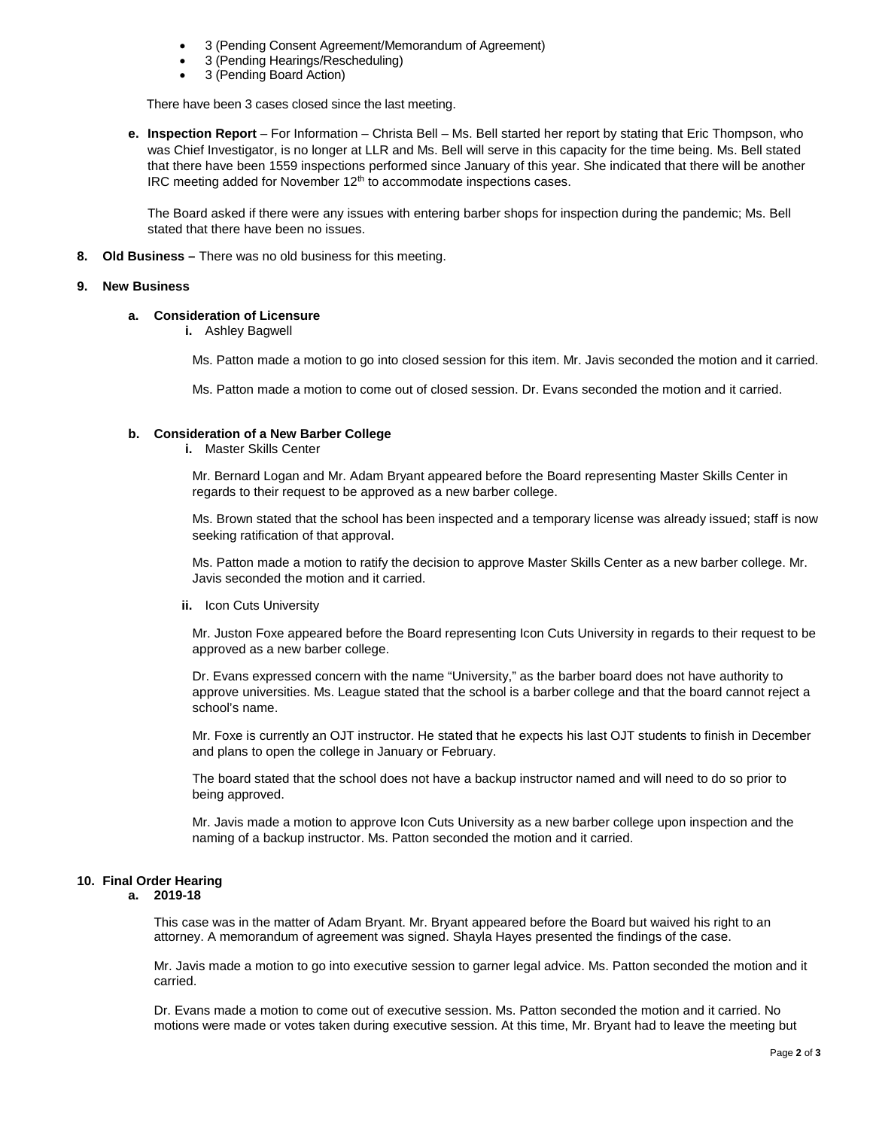- 3 (Pending Consent Agreement/Memorandum of Agreement)
- 3 (Pending Hearings/Rescheduling)
- 3 (Pending Board Action)

There have been 3 cases closed since the last meeting.

**e. Inspection Report** – For Information – Christa Bell – Ms. Bell started her report by stating that Eric Thompson, who was Chief Investigator, is no longer at LLR and Ms. Bell will serve in this capacity for the time being. Ms. Bell stated that there have been 1559 inspections performed since January of this year. She indicated that there will be another IRC meeting added for November  $12<sup>th</sup>$  to accommodate inspections cases.

The Board asked if there were any issues with entering barber shops for inspection during the pandemic; Ms. Bell stated that there have been no issues.

**8. Old Business –** There was no old business for this meeting.

### **9. New Business**

# **a. Consideration of Licensure**

**i.** Ashley Bagwell

Ms. Patton made a motion to go into closed session for this item. Mr. Javis seconded the motion and it carried.

Ms. Patton made a motion to come out of closed session. Dr. Evans seconded the motion and it carried.

## **b. Consideration of a New Barber College**

**i.** Master Skills Center

Mr. Bernard Logan and Mr. Adam Bryant appeared before the Board representing Master Skills Center in regards to their request to be approved as a new barber college.

Ms. Brown stated that the school has been inspected and a temporary license was already issued; staff is now seeking ratification of that approval.

Ms. Patton made a motion to ratify the decision to approve Master Skills Center as a new barber college. Mr. Javis seconded the motion and it carried.

**ii.** Icon Cuts University

Mr. Juston Foxe appeared before the Board representing Icon Cuts University in regards to their request to be approved as a new barber college.

Dr. Evans expressed concern with the name "University," as the barber board does not have authority to approve universities. Ms. League stated that the school is a barber college and that the board cannot reject a school's name.

Mr. Foxe is currently an OJT instructor. He stated that he expects his last OJT students to finish in December and plans to open the college in January or February.

The board stated that the school does not have a backup instructor named and will need to do so prior to being approved.

Mr. Javis made a motion to approve Icon Cuts University as a new barber college upon inspection and the naming of a backup instructor. Ms. Patton seconded the motion and it carried.

# **10. Final Order Hearing**

#### **a. 2019-18**

This case was in the matter of Adam Bryant. Mr. Bryant appeared before the Board but waived his right to an attorney. A memorandum of agreement was signed. Shayla Hayes presented the findings of the case.

Mr. Javis made a motion to go into executive session to garner legal advice. Ms. Patton seconded the motion and it carried.

Dr. Evans made a motion to come out of executive session. Ms. Patton seconded the motion and it carried. No motions were made or votes taken during executive session. At this time, Mr. Bryant had to leave the meeting but